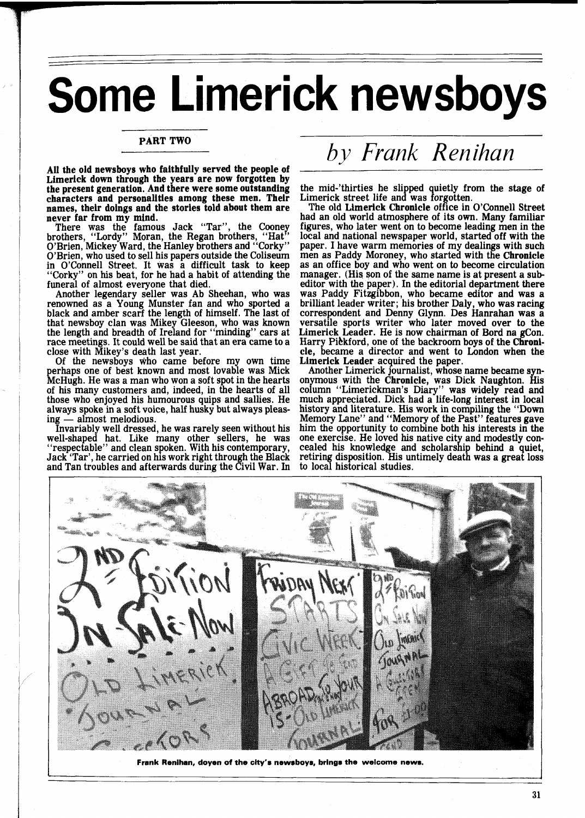## Some Limerick newsboys

## PART TWO

All the old newsboys who faithfully served the people of Limerick down through the years are now forgotten by the present generation. And there were some outstanding characters and personalities among these men. Their names, their doings and the stories told about them are never far from my mind.

There was the famous Jack "Tar", the Cooney brothers, "Lordy" Moran, the Regan brothers, "Hat O'Brien, Mickey Ward, the Hanley brothers and ''Corky''<br>O'Brien, who used to sell his papers outside the Coliseum in O'Connell Street. It was a difficult task to keep "Corky" on his beat, for he had a habit of attending the funeral of almost everyone that died.

Another legendary seller was Ab Sheehan, who was renowned as a Young Munster fan and who sported a black and amber scarf the length of himself. The last of that newsboy clan was Mikey Gleeson, who was known the length and breadth of Ireland for "minding" cars at race meetings. It could well be said that an era came to a close with Mikey's death last year. close with Mikey's death last year. Of the newsboys who came before my own time

perhaps one of best known and most lovable was Mick McHugh. He was a man who won a soft spot in the hearts of his many customers and, indeed, in the hearts of all those who enjoyed his humourous quips and sallies. He always spoke in a soft voice, half husky but always pleas-<br>ing — almost melodious.<br>Invariably well dressed, he was rarely seen without his ing — almost melodious.<br>Invariably well dressed, he was rarely seen without his

well-shaped hat. Like many other sellers, he was "respectable" and clean spoken. With his contemporary, Jack 'Tar', he carried on his work right through the Black and Tan troubles and afterwards during the Civil War. In

## *by Frank Renihan*

the mid-'thirties he slipped quietly from the stage of Limerick street life and was forgotten.<br>The old Limerick Chronicle office in O'Connell Street

had an old world atmosphere of its own. Many familiar figures, who later went on to become leading men in the local and national newspaper world, started off with the paper. I have warm memories of my dealings with such men as Paddy Moroney, who started with the Chronicle as an office boy and who went on to become circulation manager. (His son of the same name is at present a subeditor with the paper). In the editorial department there was Paddy Fitzgibbon, who became editor and was a brilliant leader writer; his brother Daly, who was racing correspondent and Denny Glynn. Des Hanrahan was a versatile sports writer who later moved over to the Limerick Leader. He is now chairman of Bord na gCon. Harry Pickford, one of the backroom boys of the Chronicle, became a director and went to London when the Limerick Leader acquired the paper.

Another Limerick journalist, whose name became synonymous with the Chronicle, was Dick Naughton. His column "Limerickman's Diary" was widely read and much appreciated. Dick had a life-long interest in local history and literature. His work in compiling the "Down Memory Lane" and "Memory of the Past'' features gave him the opportunity to combine both his interests in the one exercise. He loved his native city and modestly concealed his knowledge and scholarship behind a quiet, retiring disposition. His untimely death was a great loss to local historical studies.



**Frank Renihan, doyen of the city's newsboys, brings the welcome news.**